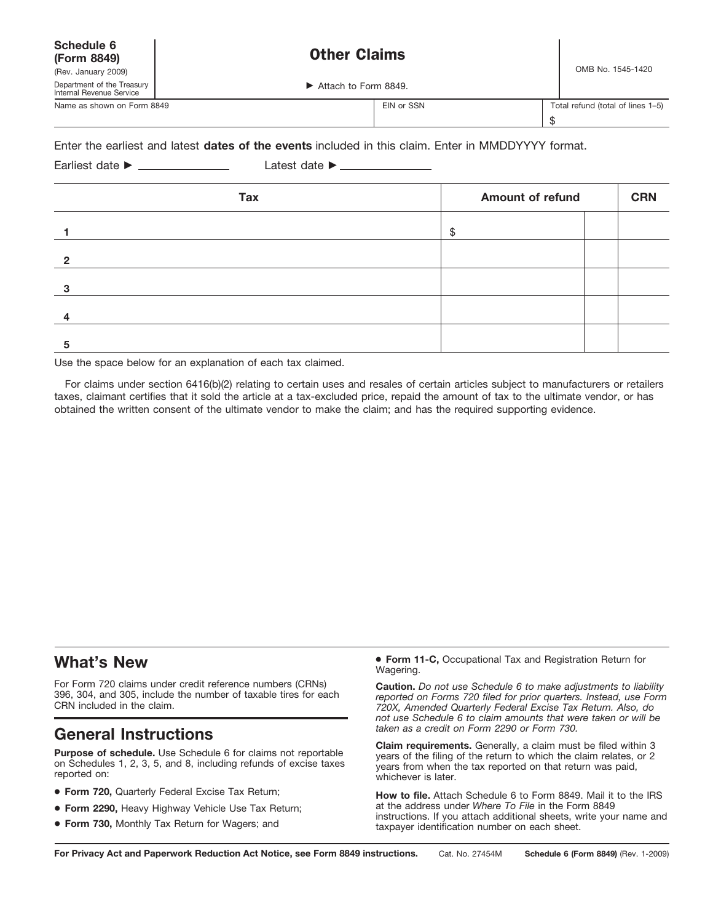| Schedule 6<br>(Form 8849)                              | <b>Other Claims</b>  |                                   |
|--------------------------------------------------------|----------------------|-----------------------------------|
| (Rev. January 2009)                                    |                      | OMB No. 1545-1420                 |
| Department of the Treasury<br>Internal Revenue Service | Attach to Form 8849. |                                   |
| Name as shown on Form 8849                             | EIN or SSN           | Total refund (total of lines 1-5) |

## Enter the earliest and latest **dates of the events** included in this claim. Enter in MMDDYYYY format.

# Earliest date © Latest date ©

| <b>Tax</b> | <b>Amount of refund</b> |  | <b>CRN</b> |
|------------|-------------------------|--|------------|
|            | \$                      |  |            |
| ≏          |                         |  |            |
| 3          |                         |  |            |
|            |                         |  |            |
| E          |                         |  |            |

Use the space below for an explanation of each tax claimed.

For claims under section 6416(b)(2) relating to certain uses and resales of certain articles subject to manufacturers or retailers taxes, claimant certifies that it sold the article at a tax-excluded price, repaid the amount of tax to the ultimate vendor, or has obtained the written consent of the ultimate vendor to make the claim; and has the required supporting evidence.

# **What's New**

For Form 720 claims under credit reference numbers (CRNs) 396, 304, and 305, include the number of taxable tires for each CRN included in the claim.

# *taken as a credit on Form 2290 or Form 730.* **General Instructions**

**Purpose of schedule.** Use Schedule 6 for claims not reportable on Schedules 1, 2, 3, 5, and 8, including refunds of excise taxes reported on:

- **Form 720,** Quarterly Federal Excise Tax Return;
- **Form 2290,** Heavy Highway Vehicle Use Tax Return;
- **Form 730,** Monthly Tax Return for Wagers; and

● **Form 11-C,** Occupational Tax and Registration Return for Wagering.

**Caution.** *Do not use Schedule 6 to make adjustments to liability reported on Forms 720 filed for prior quarters. Instead, use Form 720X, Amended Quarterly Federal Excise Tax Return. Also, do not use Schedule 6 to claim amounts that were taken or will be*

\$

**Claim requirements.** Generally, a claim must be filed within 3 years of the filing of the return to which the claim relates, or 2 years from when the tax reported on that return was paid, whichever is later.

**How to file.** Attach Schedule 6 to Form 8849. Mail it to the IRS at the address under *Where To File* in the Form 8849 instructions. If you attach additional sheets, write your name and taxpayer identification number on each sheet.